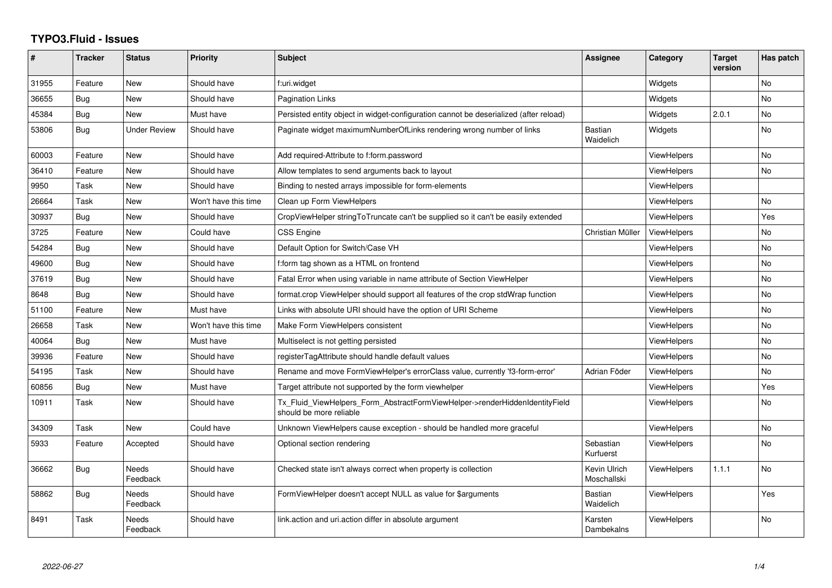## **TYPO3.Fluid - Issues**

| ∦     | <b>Tracker</b> | <b>Status</b>            | Priority             | Subject                                                                                                | <b>Assignee</b>             | Category           | <b>Target</b><br>version | Has patch |
|-------|----------------|--------------------------|----------------------|--------------------------------------------------------------------------------------------------------|-----------------------------|--------------------|--------------------------|-----------|
| 31955 | Feature        | New                      | Should have          | f:uri.widget                                                                                           |                             | Widgets            |                          | <b>No</b> |
| 36655 | <b>Bug</b>     | New                      | Should have          | Pagination Links                                                                                       |                             | Widgets            |                          | No        |
| 45384 | Bug            | New                      | Must have            | Persisted entity object in widget-configuration cannot be deserialized (after reload)                  |                             | Widgets            | 2.0.1                    | <b>No</b> |
| 53806 | Bug            | <b>Under Review</b>      | Should have          | Paginate widget maximumNumberOfLinks rendering wrong number of links                                   | <b>Bastian</b><br>Waidelich | Widgets            |                          | <b>No</b> |
| 60003 | Feature        | New                      | Should have          | Add required-Attribute to f:form.password                                                              |                             | <b>ViewHelpers</b> |                          | No        |
| 36410 | Feature        | New                      | Should have          | Allow templates to send arguments back to layout                                                       |                             | ViewHelpers        |                          | No        |
| 9950  | Task           | New                      | Should have          | Binding to nested arrays impossible for form-elements                                                  |                             | <b>ViewHelpers</b> |                          |           |
| 26664 | Task           | New                      | Won't have this time | Clean up Form ViewHelpers                                                                              |                             | ViewHelpers        |                          | <b>No</b> |
| 30937 | Bug            | New                      | Should have          | CropViewHelper stringToTruncate can't be supplied so it can't be easily extended                       |                             | <b>ViewHelpers</b> |                          | Yes       |
| 3725  | Feature        | New                      | Could have           | CSS Engine                                                                                             | Christian Müller            | <b>ViewHelpers</b> |                          | No        |
| 54284 | Bug            | New                      | Should have          | Default Option for Switch/Case VH                                                                      |                             | ViewHelpers        |                          | <b>No</b> |
| 49600 | <b>Bug</b>     | New                      | Should have          | f:form tag shown as a HTML on frontend                                                                 |                             | <b>ViewHelpers</b> |                          | No        |
| 37619 | Bug            | New                      | Should have          | Fatal Error when using variable in name attribute of Section ViewHelper                                |                             | <b>ViewHelpers</b> |                          | <b>No</b> |
| 8648  | Bug            | New                      | Should have          | format.crop ViewHelper should support all features of the crop stdWrap function                        |                             | <b>ViewHelpers</b> |                          | No        |
| 51100 | Feature        | New                      | Must have            | Links with absolute URI should have the option of URI Scheme                                           |                             | <b>ViewHelpers</b> |                          | <b>No</b> |
| 26658 | Task           | New                      | Won't have this time | Make Form ViewHelpers consistent                                                                       |                             | ViewHelpers        |                          | No        |
| 40064 | Bug            | New                      | Must have            | Multiselect is not getting persisted                                                                   |                             | <b>ViewHelpers</b> |                          | <b>No</b> |
| 39936 | Feature        | New                      | Should have          | registerTagAttribute should handle default values                                                      |                             | <b>ViewHelpers</b> |                          | <b>No</b> |
| 54195 | Task           | New                      | Should have          | Rename and move FormViewHelper's errorClass value, currently 'f3-form-error'                           | Adrian Föder                | ViewHelpers        |                          | No        |
| 60856 | Bug            | New                      | Must have            | Target attribute not supported by the form viewhelper                                                  |                             | <b>ViewHelpers</b> |                          | Yes       |
| 10911 | Task           | New                      | Should have          | Tx_Fluid_ViewHelpers_Form_AbstractFormViewHelper->renderHiddenIdentityField<br>should be more reliable |                             | ViewHelpers        |                          | No        |
| 34309 | Task           | <b>New</b>               | Could have           | Unknown ViewHelpers cause exception - should be handled more graceful                                  |                             | ViewHelpers        |                          | <b>No</b> |
| 5933  | Feature        | Accepted                 | Should have          | Optional section rendering                                                                             | Sebastian<br>Kurfuerst      | <b>ViewHelpers</b> |                          | No        |
| 36662 | <b>Bug</b>     | Needs<br>Feedback        | Should have          | Checked state isn't always correct when property is collection                                         | Kevin Ulrich<br>Moschallski | ViewHelpers        | 1.1.1                    | <b>No</b> |
| 58862 | Bug            | <b>Needs</b><br>Feedback | Should have          | FormViewHelper doesn't accept NULL as value for \$arguments                                            | <b>Bastian</b><br>Waidelich | <b>ViewHelpers</b> |                          | Yes       |
| 8491  | Task           | Needs<br>Feedback        | Should have          | link.action and uri.action differ in absolute argument                                                 | Karsten<br>Dambekalns       | <b>ViewHelpers</b> |                          | <b>No</b> |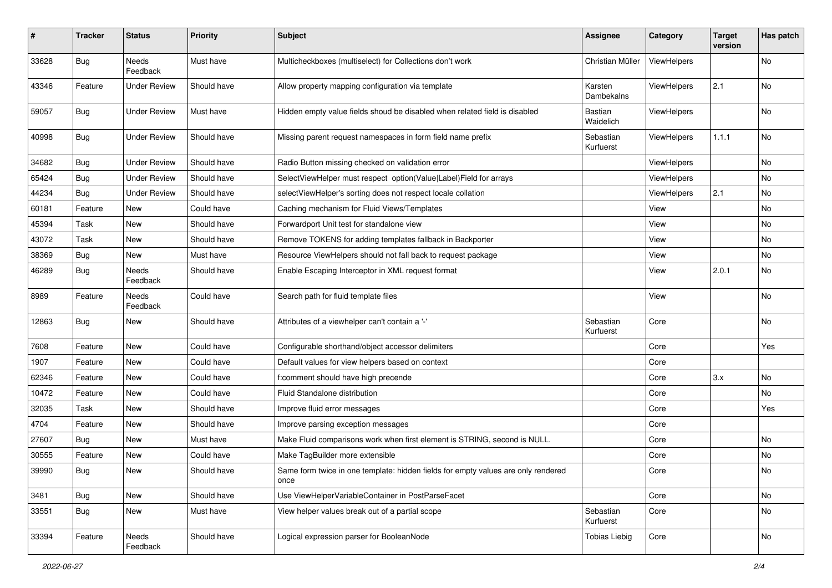| $\pmb{\#}$ | <b>Tracker</b> | <b>Status</b>       | <b>Priority</b> | <b>Subject</b>                                                                            | <b>Assignee</b>        | Category           | <b>Target</b><br>version | Has patch |
|------------|----------------|---------------------|-----------------|-------------------------------------------------------------------------------------------|------------------------|--------------------|--------------------------|-----------|
| 33628      | Bug            | Needs<br>Feedback   | Must have       | Multicheckboxes (multiselect) for Collections don't work                                  | Christian Müller       | ViewHelpers        |                          | <b>No</b> |
| 43346      | Feature        | <b>Under Review</b> | Should have     | Allow property mapping configuration via template                                         | Karsten<br>Dambekalns  | ViewHelpers        | 2.1                      | No        |
| 59057      | Bug            | <b>Under Review</b> | Must have       | Hidden empty value fields shoud be disabled when related field is disabled                | Bastian<br>Waidelich   | ViewHelpers        |                          | No        |
| 40998      | Bug            | <b>Under Review</b> | Should have     | Missing parent request namespaces in form field name prefix                               | Sebastian<br>Kurfuerst | <b>ViewHelpers</b> | 1.1.1                    | No        |
| 34682      | Bug            | <b>Under Review</b> | Should have     | Radio Button missing checked on validation error                                          |                        | ViewHelpers        |                          | No        |
| 65424      | Bug            | <b>Under Review</b> | Should have     | SelectViewHelper must respect option(Value Label)Field for arrays                         |                        | ViewHelpers        |                          | No        |
| 44234      | Bug            | <b>Under Review</b> | Should have     | selectViewHelper's sorting does not respect locale collation                              |                        | <b>ViewHelpers</b> | 2.1                      | No        |
| 60181      | Feature        | New                 | Could have      | Caching mechanism for Fluid Views/Templates                                               |                        | View               |                          | No        |
| 45394      | Task           | New                 | Should have     | Forwardport Unit test for standalone view                                                 |                        | View               |                          | No        |
| 43072      | Task           | New                 | Should have     | Remove TOKENS for adding templates fallback in Backporter                                 |                        | View               |                          | No        |
| 38369      | <b>Bug</b>     | New                 | Must have       | Resource ViewHelpers should not fall back to request package                              |                        | View               |                          | No        |
| 46289      | Bug            | Needs<br>Feedback   | Should have     | Enable Escaping Interceptor in XML request format                                         |                        | View               | 2.0.1                    | No        |
| 8989       | Feature        | Needs<br>Feedback   | Could have      | Search path for fluid template files                                                      |                        | View               |                          | No        |
| 12863      | Bug            | New                 | Should have     | Attributes of a viewhelper can't contain a '-'                                            | Sebastian<br>Kurfuerst | Core               |                          | No        |
| 7608       | Feature        | New                 | Could have      | Configurable shorthand/object accessor delimiters                                         |                        | Core               |                          | Yes       |
| 1907       | Feature        | New                 | Could have      | Default values for view helpers based on context                                          |                        | Core               |                          |           |
| 62346      | Feature        | New                 | Could have      | f:comment should have high precende                                                       |                        | Core               | 3.x                      | No        |
| 10472      | Feature        | New                 | Could have      | Fluid Standalone distribution                                                             |                        | Core               |                          | No        |
| 32035      | Task           | New                 | Should have     | Improve fluid error messages                                                              |                        | Core               |                          | Yes       |
| 4704       | Feature        | New                 | Should have     | Improve parsing exception messages                                                        |                        | Core               |                          |           |
| 27607      | <b>Bug</b>     | New                 | Must have       | Make Fluid comparisons work when first element is STRING, second is NULL.                 |                        | Core               |                          | No        |
| 30555      | Feature        | New                 | Could have      | Make TagBuilder more extensible                                                           |                        | Core               |                          | No        |
| 39990      | Bug            | New                 | Should have     | Same form twice in one template: hidden fields for empty values are only rendered<br>once |                        | Core               |                          | No        |
| 3481       | Bug            | New                 | Should have     | Use ViewHelperVariableContainer in PostParseFacet                                         |                        | Core               |                          | No        |
| 33551      | Bug            | New                 | Must have       | View helper values break out of a partial scope                                           | Sebastian<br>Kurfuerst | Core               |                          | No        |
| 33394      | Feature        | Needs<br>Feedback   | Should have     | Logical expression parser for BooleanNode                                                 | <b>Tobias Liebig</b>   | Core               |                          | No        |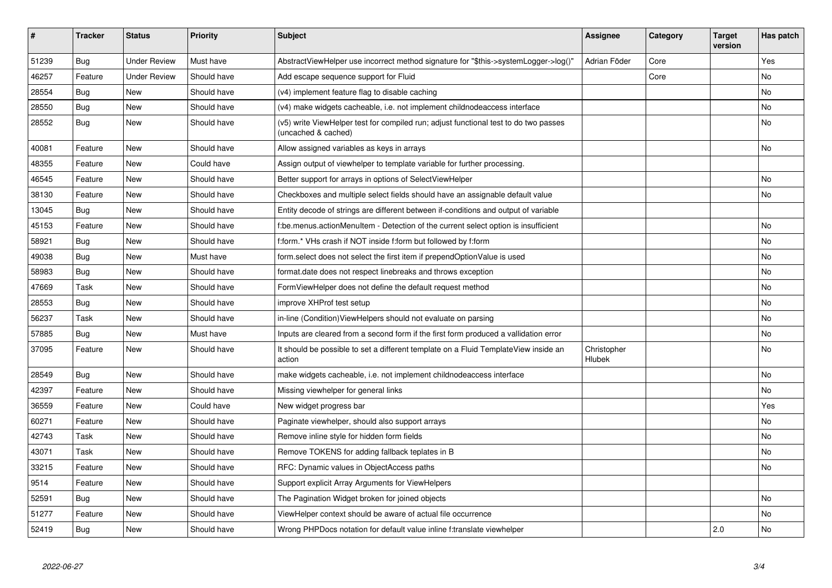| #     | <b>Tracker</b> | <b>Status</b>       | <b>Priority</b> | <b>Subject</b>                                                                                              | Assignee                     | Category | <b>Target</b><br>version | Has patch |
|-------|----------------|---------------------|-----------------|-------------------------------------------------------------------------------------------------------------|------------------------------|----------|--------------------------|-----------|
| 51239 | Bug            | <b>Under Review</b> | Must have       | AbstractViewHelper use incorrect method signature for "\$this->systemLogger->log()"                         | Adrian Föder                 | Core     |                          | Yes       |
| 46257 | Feature        | <b>Under Review</b> | Should have     | Add escape sequence support for Fluid                                                                       |                              | Core     |                          | No        |
| 28554 | Bug            | <b>New</b>          | Should have     | (v4) implement feature flag to disable caching                                                              |                              |          |                          | No        |
| 28550 | Bug            | New                 | Should have     | (v4) make widgets cacheable, i.e. not implement childnodeaccess interface                                   |                              |          |                          | No        |
| 28552 | Bug            | <b>New</b>          | Should have     | (v5) write ViewHelper test for compiled run; adjust functional test to do two passes<br>(uncached & cached) |                              |          |                          | <b>No</b> |
| 40081 | Feature        | <b>New</b>          | Should have     | Allow assigned variables as keys in arrays                                                                  |                              |          |                          | <b>No</b> |
| 48355 | Feature        | New                 | Could have      | Assign output of viewhelper to template variable for further processing.                                    |                              |          |                          |           |
| 46545 | Feature        | New                 | Should have     | Better support for arrays in options of SelectViewHelper                                                    |                              |          |                          | No        |
| 38130 | Feature        | <b>New</b>          | Should have     | Checkboxes and multiple select fields should have an assignable default value                               |                              |          |                          | <b>No</b> |
| 13045 | <b>Bug</b>     | New                 | Should have     | Entity decode of strings are different between if-conditions and output of variable                         |                              |          |                          |           |
| 45153 | Feature        | <b>New</b>          | Should have     | f:be.menus.actionMenuItem - Detection of the current select option is insufficient                          |                              |          |                          | <b>No</b> |
| 58921 | Bug            | New                 | Should have     | f:form.* VHs crash if NOT inside f:form but followed by f:form                                              |                              |          |                          | No        |
| 49038 | Bug            | <b>New</b>          | Must have       | form.select does not select the first item if prependOptionValue is used                                    |                              |          |                          | <b>No</b> |
| 58983 | Bug            | New                 | Should have     | format.date does not respect linebreaks and throws exception                                                |                              |          |                          | <b>No</b> |
| 47669 | Task           | <b>New</b>          | Should have     | FormViewHelper does not define the default request method                                                   |                              |          |                          | <b>No</b> |
| 28553 | Bug            | New                 | Should have     | improve XHProf test setup                                                                                   |                              |          |                          | <b>No</b> |
| 56237 | Task           | New                 | Should have     | in-line (Condition) View Helpers should not evaluate on parsing                                             |                              |          |                          | No        |
| 57885 | Bug            | New                 | Must have       | Inputs are cleared from a second form if the first form produced a vallidation error                        |                              |          |                          | <b>No</b> |
| 37095 | Feature        | New                 | Should have     | It should be possible to set a different template on a Fluid TemplateView inside an<br>action               | Christopher<br><b>Hlubek</b> |          |                          | No        |
| 28549 | Bug            | <b>New</b>          | Should have     | make widgets cacheable, i.e. not implement childnodeaccess interface                                        |                              |          |                          | <b>No</b> |
| 42397 | Feature        | New                 | Should have     | Missing viewhelper for general links                                                                        |                              |          |                          | <b>No</b> |
| 36559 | Feature        | New                 | Could have      | New widget progress bar                                                                                     |                              |          |                          | Yes       |
| 60271 | Feature        | New                 | Should have     | Paginate viewhelper, should also support arrays                                                             |                              |          |                          | <b>No</b> |
| 42743 | Task           | New                 | Should have     | Remove inline style for hidden form fields                                                                  |                              |          |                          | No        |
| 43071 | Task           | New                 | Should have     | Remove TOKENS for adding fallback teplates in B                                                             |                              |          |                          | No        |
| 33215 | Feature        | New                 | Should have     | RFC: Dynamic values in ObjectAccess paths                                                                   |                              |          |                          | No        |
| 9514  | Feature        | New                 | Should have     | Support explicit Array Arguments for ViewHelpers                                                            |                              |          |                          |           |
| 52591 | Bug            | New                 | Should have     | The Pagination Widget broken for joined objects                                                             |                              |          |                          | <b>No</b> |
| 51277 | Feature        | New                 | Should have     | ViewHelper context should be aware of actual file occurrence                                                |                              |          |                          | No        |
| 52419 | <b>Bug</b>     | <b>New</b>          | Should have     | Wrong PHPDocs notation for default value inline f:translate viewhelper                                      |                              |          | 2.0                      | <b>No</b> |